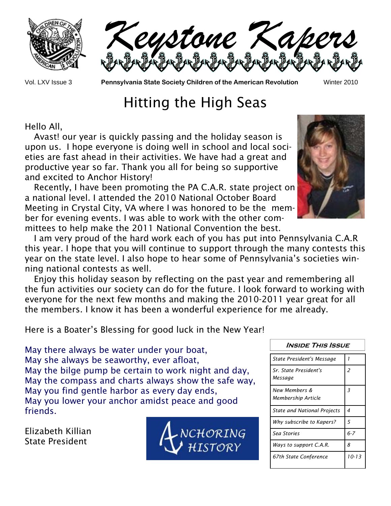



Vol. LXV Issue 3 **Pennsylvania State Society Children of the American Revolution** Winter 2010

## Hitting the High Seas

Hello All,

 Avast! our year is quickly passing and the holiday season is upon us. I hope everyone is doing well in school and local societies are fast ahead in their activities. We have had a great and productive year so far. Thank you all for being so supportive and excited to Anchor History!

 Recently, I have been promoting the PA C.A.R. state project on a national level. I attended the 2010 National October Board Meeting in Crystal City, VA where I was honored to be the member for evening events. I was able to work with the other committees to help make the 2011 National Convention the best.



 I am very proud of the hard work each of you has put into Pennsylvania C.A.R this year. I hope that you will continue to support through the many contests this year on the state level. I also hope to hear some of Pennsylvania's societies winning national contests as well.

 Enjoy this holiday season by reflecting on the past year and remembering all the fun activities our society can do for the future. I look forward to working with everyone for the next few months and making the 2010-2011 year great for all the members. I know it has been a wonderful experience for me already.

Here is a Boater's Blessing for good luck in the New Year!

May there always be water under your boat, May she always be seaworthy, ever afloat, May the bilge pump be certain to work night and day, May the compass and charts always show the safe way, May you find gentle harbor as every day ends, May you lower your anchor amidst peace and good friends.

Elizabeth Killian State President



| <i><b>INSIDE THIS ISSUE</b></i>     |         |
|-------------------------------------|---------|
| <b>State President's Message</b>    | 1       |
| Sr. State President's<br>Message    | 2       |
| New Members &<br>Membership Article | 3       |
| <b>State and National Projects</b>  | 4       |
| Why subscribe to Kapers?            | 5       |
| Sea Stories                         | $6 - 7$ |
| Ways to support C.A.R.              | 8       |
| 67th State Conference               | 10-13   |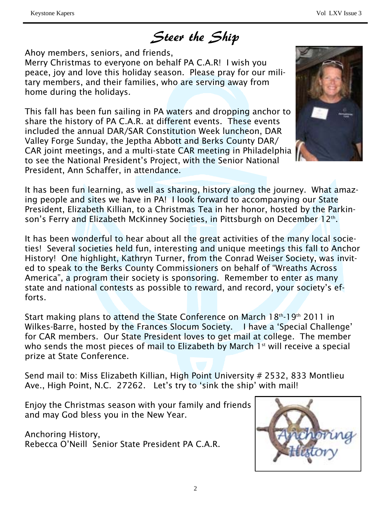Steer the Ship

Ahoy members, seniors, and friends,

Merry Christmas to everyone on behalf PA C.A.R! I wish you peace, joy and love this holiday season. Please pray for our military members, and their families, who are serving away from home during the holidays.

This fall has been fun sailing in PA waters and dropping anchor to share the history of PA C.A.R. at different events. These events included the annual DAR/SAR Constitution Week luncheon, DAR Valley Forge Sunday, the Jeptha Abbott and Berks County DAR/ CAR joint meetings, and a multi-state CAR meeting in Philadelphia to see the National President's Project, with the Senior National President, Ann Schaffer, in attendance.



It has been fun learning, as well as sharing, history along the journey. What amazing people and sites we have in PA! I look forward to accompanying our State President, Elizabeth Killian, to a Christmas Tea in her honor, hosted by the Parkinson's Ferry and Elizabeth McKinney Societies, in Pittsburgh on December 12th.

It has been wonderful to hear about all the great activities of the many local societies! Several societies held fun, interesting and unique meetings this fall to Anchor History! One highlight, Kathryn Turner, from the Conrad Weiser Society, was invited to speak to the Berks County Commissioners on behalf of "Wreaths Across America", a program their society is sponsoring. Remember to enter as many state and national contests as possible to reward, and record, your society's efforts.

Start making plans to attend the State Conference on March  $18<sup>th</sup>$ -19<sup>th</sup> 2011 in Wilkes-Barre, hosted by the Frances Slocum Society. I have a 'Special Challenge' for CAR members. Our State President loves to get mail at college. The member who sends the most pieces of mail to Elizabeth by March  $1<sup>st</sup>$  will receive a special prize at State Conference.

Send mail to: Miss Elizabeth Killian, High Point University # 2532, 833 Montlieu Ave., High Point, N.C. 27262. Let's try to 'sink the ship' with mail!

Enjoy the Christmas season with your family and friends and may God bless you in the New Year.

Anchoring History, Rebecca O'Neill Senior State President PA C.A.R.

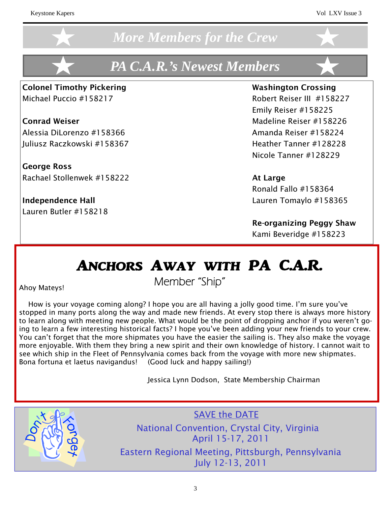### *More Members for the Crew*

## *PA C.A.R.'s Newest Members*

Colonel Timothy Pickering Washington Crossing Michael Puccio #158217 Robert Reiser III #158227

Conrad Weiser Madeline Reiser #158226 Alessia DiLorenzo #158366 Amanda Reiser #158224 Juliusz Raczkowski #158367 Heather Tanner #128228

George Ross Rachael Stollenwek #158222 At Large

Lauren Butler #158218

 Emily Reiser #158225 Nicole Tanner #128229

 Ronald Fallo #158364 Independence Hall Lauren Tomaylo #158365

> Re-organizing Peggy Shaw Kami Beveridge #158223

## ANCHORS AWAY WITH PA C.A.R.

Ahoy Mateys!

Member "Ship"

 How is your voyage coming along? I hope you are all having a jolly good time. I'm sure you've stopped in many ports along the way and made new friends. At every stop there is always more history to learn along with meeting new people. What would be the point of dropping anchor if you weren't going to learn a few interesting historical facts? I hope you've been adding your new friends to your crew. You can't forget that the more shipmates you have the easier the sailing is. They also make the voyage more enjoyable. With them they bring a new spirit and their own knowledge of history. I cannot wait to see which ship in the Fleet of Pennsylvania comes back from the voyage with more new shipmates. Bona fortuna et laetus navigandus! (Good luck and happy sailing!)

Jessica Lynn Dodson, State Membership Chairman



SAVE the DATE National Convention, Crystal City, Virginia April 15-17, 2011 Eastern Regional Meeting, Pittsburgh, Pennsylvania July 12-13, 2011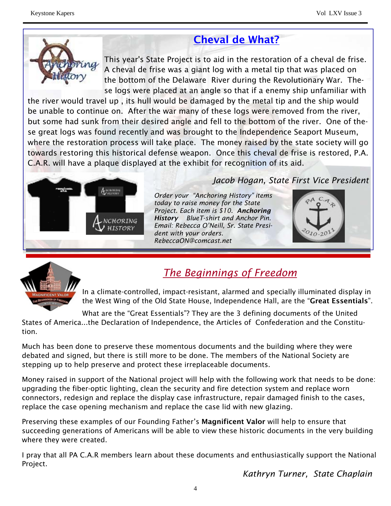### Cheval de What?



This year's State Project is to aid in the restoration of a cheval de frise. A cheval de frise was a giant log with a metal tip that was placed on the bottom of the Delaware River during the Revolutionary War. These logs were placed at an angle so that if a enemy ship unfamiliar with

the river would travel up , its hull would be damaged by the metal tip and the ship would be unable to continue on. After the war many of these logs were removed from the river, but some had sunk from their desired angle and fell to the bottom of the river. One of these great logs was found recently and was brought to the Independence Seaport Museum, where the restoration process will take place. The money raised by the state society will go towards restoring this historical defense weapon. Once this cheval de frise is restored, P.A. C.A.R. will have a plaque displayed at the exhibit for recognition of its aid.



#### *Jacob Hogan, State First Vice President*

*Order your "Anchoring History" items today to raise money for the State Project. Each item is \$10. Anchoring History BlueT-shirt and Anchor Pin. Email: Rebecca O'Neill, Sr. State President with your orders. RebeccaON@comcast.net* 





### *The Beginnings of Freedom*

In a climate-controlled, impact-resistant, alarmed and specially illuminated display in the West Wing of the Old State House, Independence Hall, are the "Great Essentials".

What are the "Great Essentials"? They are the 3 defining documents of the United States of America...the Declaration of Independence, the Articles of Confederation and the Constitution.

Much has been done to preserve these momentous documents and the building where they were debated and signed, but there is still more to be done. The members of the National Society are stepping up to help preserve and protect these irreplaceable documents.

Money raised in support of the National project will help with the following work that needs to be done: upgrading the fiber-optic lighting, clean the security and fire detection system and replace worn connectors, redesign and replace the display case infrastructure, repair damaged finish to the cases, replace the case opening mechanism and replace the case lid with new glazing.

Preserving these examples of our Founding Father's **Magnificent Valor** will help to ensure that succeeding generations of Americans will be able to view these historic documents in the very building where they were created.

I pray that all PA C.A.R members learn about these documents and enthusiastically support the National Project.

 *Kathryn Turner, State Chaplain*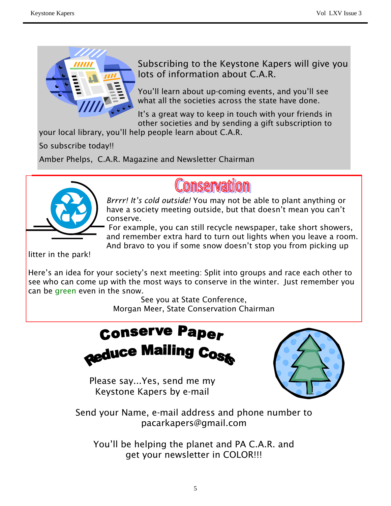

Subscribing to the Keystone Kapers will give you lots of information about C.A.R.

You'll learn about up-coming events, and you'll see what all the societies across the state have done.

It's a great way to keep in touch with your friends in other societies and by sending a gift subscription to

your local library, you'll help people learn about C.A.R.

So subscribe today!!

Amber Phelps, C.A.R. Magazine and Newsletter Chairman



## Conservation

*Brrrr! It's cold outside!* You may not be able to plant anything or have a society meeting outside, but that doesn't mean you can't conserve.

 For example, you can still recycle newspaper, take short showers, and remember extra hard to turn out lights when you leave a room. And bravo to you if some snow doesn't stop you from picking up

litter in the park!

Here's an idea for your society's next meeting: Split into groups and race each other to see who can come up with the most ways to conserve in the winter. Just remember you can be green even in the snow.

> See you at State Conference, Morgan Meer, State Conservation Chairman

### **Conserve Paper Reduce Mailin** J Cost

Please say...Yes, send me my Keystone Kapers by e-mail



Send your Name, e-mail address and phone number to pacarkapers@gmail.com

You'll be helping the planet and PA C.A.R. and get your newsletter in COLOR!!!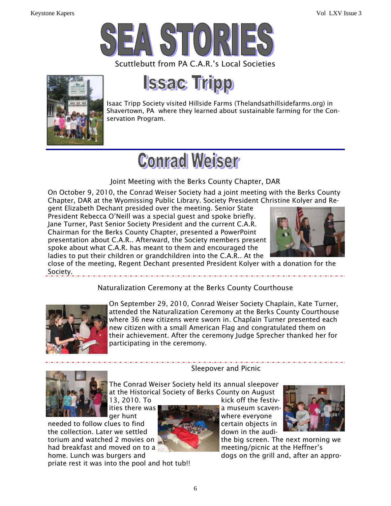



**Issac Tripp** 

Isaac Tripp Society visited Hillside Farms (Thelandsathillsidefarms.org) in Shavertown, PA where they learned about sustainable farming for the Conservation Program.

# **Conrad Weiser**

#### Joint Meeting with the Berks County Chapter, DAR

On October 9, 2010, the Conrad Weiser Society had a joint meeting with the Berks County Chapter, DAR at the Wyomissing Public Library. Society President Christine Kolyer and Re-

gent Elizabeth Dechant presided over the meeting. Senior State President Rebecca O'Neill was a special guest and spoke briefly. Jane Turner, Past Senior Society President and the current C.A.R. Chairman for the Berks County Chapter, presented a PowerPoint presentation about C.A.R.. Afterward, the Society members present spoke about what C.A.R. has meant to them and encouraged the ladies to put their children or grandchildren into the C.A.R.. At the



close of the meeting, Regent Dechant presented President Kolyer with a donation for the Society.

#### Naturalization Ceremony at the Berks County Courthouse



On September 29, 2010, Conrad Weiser Society Chaplain, Kate Turner, attended the Naturalization Ceremony at the Berks County Courthouse where 36 new citizens were sworn in. Chaplain Turner presented each new citizen with a small American Flag and congratulated them on their achievement. After the ceremony Judge Sprecher thanked her for participating in the ceremony.



needed to follow clues to find **change of the certain objects in** the collection. Later we settled down in the audihad breakfast and moved on to a meeting/picnic at the Heffner's

priate rest it was into the pool and hot tub!!

Sleepover and Picnic

The Conrad Weiser Society held its annual sleepover at the Historical Society of Berks County on August 13, 2010. To kick off the festiv-



ities there was **a museum scaven-**



torium and watched 2 movies on the big screen. The next morning we home. Lunch was burgers and dogs on the grill and, after an appro-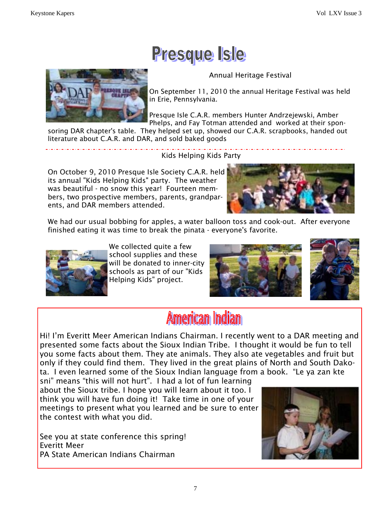## Presque Isle

Annual Heritage Festival



On September 11, 2010 the annual Heritage Festival was held in Erie, Pennsylvania.

Presque Isle C.A.R. members Hunter Andrzejewski, Amber Phelps, and Fay Totman attended and worked at their spon-

soring DAR chapter's table. They helped set up, showed our C.A.R. scrapbooks, handed out literature about C.A.R. and DAR, and sold baked goods

Kids Helping Kids Party

On October 9, 2010 Presque Isle Society C.A.R. held its annual "Kids Helping Kids" party. The weather was beautiful - no snow this year! Fourteen members, two prospective members, parents, grandparents, and DAR members attended.



We had our usual bobbing for apples, a water balloon toss and cook-out. After everyone finished eating it was time to break the pinata - everyone's favorite.



We collected quite a few school supplies and these will be donated to inner-city schools as part of our "Kids Helping Kids" project.





## **American Indian**

Hi! I'm Everitt Meer American Indians Chairman. I recently went to a DAR meeting and presented some facts about the Sioux Indian Tribe. I thought it would be fun to tell you some facts about them. They ate animals. They also ate vegetables and fruit but only if they could find them. They lived in the great plains of North and South Dakota. I even learned some of the Sioux Indian language from a book. "Le ya zan kte

sni" means "this will not hurt". I had a lot of fun learning about the Sioux tribe. I hope you will learn about it too. I think you will have fun doing it! Take time in one of your meetings to present what you learned and be sure to enter the contest with what you did.

See you at state conference this spring! Everitt Meer PA State American Indians Chairman

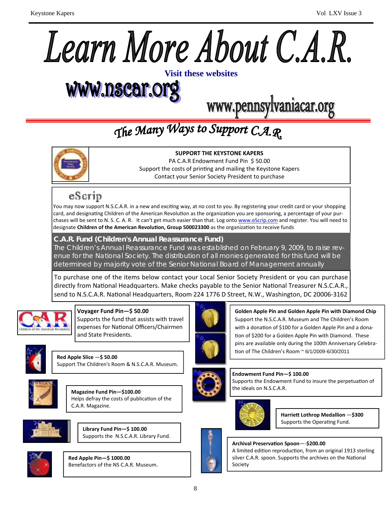

# www.nscar.org

www.pennsylvaniacar.org

## The Many Ways to Support C.A.R.



**SUPPORT THE KEYSTONE KAPERS** PA C.A.R Endowment Fund Pin \$ 50.00 Support the costs of printing and mailing the Keystone Kapers Contact your Senior Society President to purchase

### eScrip

You may now support N.S.C.A.R. in a new and exciting way, at no cost to you. By registering your credit card or your shopping card, and designating Children of the American Revolution as the organization you are sponsoring, a percentage of your purchases will be sent to N. S. C. A. R. It can't get much easier than that. Log onto www.eScrip.com and register. You will need to designate **Children of the American RevoluƟon, Group 500023300** as the organizaƟon to receive funds

#### **C.A.R. Fund (Children's Annual Reassurance Fund)**

The Children's Annual Reassurance Fund was established on February 9, 2009, to raise revenue for the National Society. The distribution of all monies generated for this fund will be determined by majority vote of the Senior National Board of Management annually

To purchase one of the items below contact your Local Senior Society President or you can purchase directly from National Headquarters. Make checks payable to the Senior National Treasurer N.S.C.A.R., send to N.S.C.A.R. National Headquarters, Room 224 1776 D Street, N.W., Washington, DC 20006-3162



#### **Voyager Fund Pin—\$ 50.00**

Supports the fund that assists with travel expenses for National Officers/Chairmen and State Presidents.



**Red Apple Slice** —**\$ 50.00** Support The Children's Room & N.S.C.A.R. Museum.



**Magazine Fund Pin—\$100.00** Helps defray the costs of publication of the C.A.R. Magazine.







**Red Apple Pin—\$ 1000.00** Benefactors of the NS C.A.R. Museum.



**Golden Apple Pin and Golden Apple Pin with Diamond Chip** Support the N.S.C.A.R. Museum and The Children's Room with a donation of \$100 for a Golden Apple Pin and a donation of \$200 for a Golden Apple Pin with Diamond. These pins are available only during the 100th Anniversary Celebra‐ tion of The Children's Room ~ 6/1/2009-6/30/2011



**Endowment Fund Pin—\$ 100.00**  Supports the Endowment Fund to insure the perpetuation of the ideals on N.S.C.A.R.



**HarrieƩ Lothrop Medallion** —**\$300** Supports the Operating Fund.





**Archival PreservaƟon Spoon**—‐**\$200.00** A limited edition reproduction, from an original 1913 sterling silver C.A.R. spoon. Supports the archives on the National Society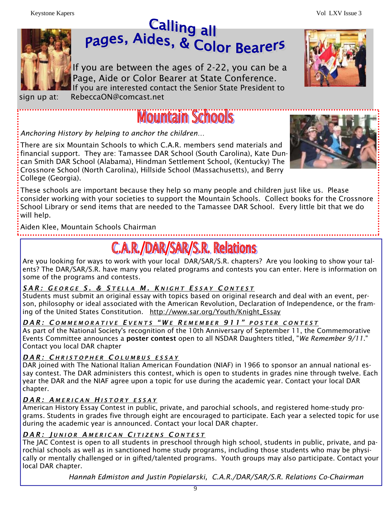



If you are between the ages of 2-22, you can be a Page, Aide or Color Bearer at State Conference. If you are interested contact the Senior State President to sign up at: RebeccaON@comcast.net

## **Mountain Schools**

*Anchoring History by helping to anchor the children…* 

There are six Mountain Schools to which C.A.R. members send materials and financial support. They are: Tamassee DAR School (South Carolina), Kate Duncan Smith DAR School (Alabama), Hindman Settlement School, (Kentucky) The Crossnore School (North Carolina), Hillside School (Massachusetts), and Berry College (Georgia).



These schools are important because they help so many people and children just like us. Please consider working with your societies to support the Mountain Schools. Collect books for the Crossnore School Library or send items that are needed to the Tamassee DAR School. Every little bit that we do will help.

Aiden Klee, Mountain Schools Chairman

## **C.A.R./DAR/SAR/S.R. Relations**

Are you looking for ways to work with your local DAR/SAR/S.R. chapters? Are you looking to show your talents? The DAR/SAR/S.R. have many you related programs and contests you can enter. Here is information on some of the programs and contests.

### *SAR: G EORGE S. & S TELLA M. K NIGHT E SSAY C ONTEST*

Students must submit an original essay with topics based on original research and deal with an event, person, philosophy or ideal associated with the American Revolution, Declaration of Independence, or the framing of the United States Constitution. http://www.sar.org/Youth/Knight\_Essay

#### *DAR: C OMMEMORATIVE E VENTS "W E R EMEMBER 911" POSTER CONTEST*

As part of the National Society's recognition of the 10th Anniversary of September 11, the Commemorative Events Committee announces a poster contest open to all NSDAR Daughters titled, "*We Remember 9/11*." Contact you local DAR chapter

#### *DAR: C HRISTOPHER C OLUMBUS ESSAY*

DAR joined with The National Italian American Foundation (NIAF) in 1966 to sponsor an annual national essay contest. The DAR administers this contest, which is open to students in grades nine through twelve. Each year the DAR and the NIAF agree upon a topic for use during the academic year. Contact your local DAR chapter.

#### *DAR: A MERICAN H ISTORY ESSAY*

American History Essay Contest in public, private, and parochial schools, and registered home-study programs. Students in grades five through eight are encouraged to participate. Each year a selected topic for use during the academic year is announced. Contact your local DAR chapter.

#### *DAR: J UNIOR A MERICAN C ITIZENS C ONTEST*

The JAC Contest is open to all students in preschool through high school, students in public, private, and parochial schools as well as in sanctioned home study programs, including those students who may be physically or mentally challenged or in gifted/talented programs. Youth groups may also participate. Contact your local DAR chapter.

*Hannah Edmiston and Justin Popielarski, C.A.R./DAR/SAR/S.R. Relations Co-Chairman*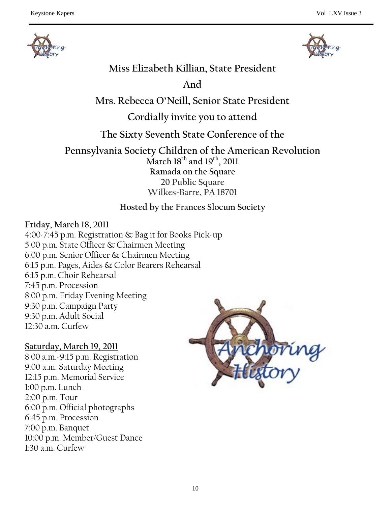



### **Miss Elizabeth Killian, State President**

**And** 

**Mrs. Rebecca O'Neill, Senior State President** 

### **Cordially invite you to attend**

**The Sixty Seventh State Conference of the** 

**Pennsylvania Society Children of the American Revolution March 18th and 19th, 2011 Ramada on the Square 20 Public Square Wilkes-Barre, PA 18701** 

### **Hosted by the Frances Slocum Society**

#### **Friday, March 18, 2011**

4:00-7:45 p.m. Registration & Bag it for Books Pick-up 5:00 p.m. State Officer & Chairmen Meeting 6:00 p.m. Senior Officer & Chairmen Meeting 6:15 p.m. Pages, Aides & Color Bearers Rehearsal 6:15 p.m. Choir Rehearsal 7:45 p.m. Procession 8:00 p.m. Friday Evening Meeting 9:30 p.m. Campaign Party 9:30 p.m. Adult Social 12:30 a.m. Curfew

#### **Saturday, March 19, 2011**

8:00 a.m.-9:15 p.m. Registration 9:00 a.m. Saturday Meeting 12:15 p.m. Memorial Service 1:00 p.m. Lunch 2:00 p.m. Tour 6:00 p.m. Official photographs 6:45 p.m. Procession 7:00 p.m. Banquet 10:00 p.m. Member/Guest Dance 1:30 a.m. Curfew

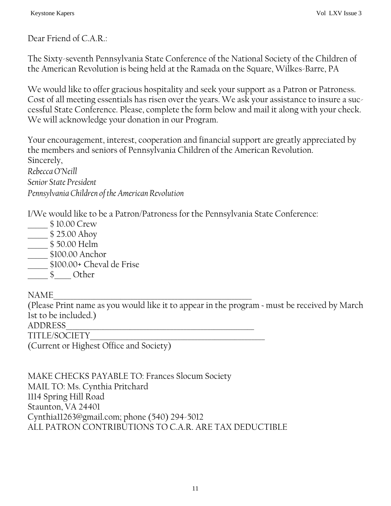Dear Friend of C.A.R.:

The Sixty-seventh Pennsylvania State Conference of the National Society of the Children of the American Revolution is being held at the Ramada on the Square, Wilkes-Barre, PA

We would like to offer gracious hospitality and seek your support as a Patron or Patroness. Cost of all meeting essentials has risen over the years. We ask your assistance to insure a successful State Conference. Please, complete the form below and mail it along with your check. We will acknowledge your donation in our Program.

Your encouragement, interest, cooperation and financial support are greatly appreciated by the members and seniors of Pennsylvania Children of the American Revolution. Sincerely, *Rebecca O'Neill Senior State President Pennsylvania Children of the American Revolution* 

I/We would like to be a Patron/Patroness for the Pennsylvania State Conference:

- \_\_\_\_\_\_ \$ 10.00 Crew
- \_\_\_\_\_\_ \$ 25.00 Ahoy
- \_\_\_\_\_\_ \$ 50.00 Helm
- \_\_\_\_\_\_ \$100.00 Anchor
- \_\_\_\_\_\_ \$100.00+ Cheval de Frise
- \_\_\_\_\_\_ \$\_\_\_\_\_ Other

NAME\_\_\_\_\_\_\_\_\_\_\_\_\_\_\_\_\_\_\_\_\_\_\_\_\_\_\_\_\_\_\_\_\_\_\_\_\_\_\_\_\_\_\_\_\_\_\_\_\_\_\_\_\_\_\_\_\_\_\_

(Please Print name as you would like it to appear in the program ~ must be received by March 1st to be included.)

ADDRESS\_\_\_\_\_\_\_\_\_\_\_\_\_\_\_\_\_\_\_\_\_\_\_\_\_\_\_\_\_\_\_\_\_\_\_\_\_\_\_\_\_\_\_\_\_\_\_\_\_\_\_\_\_\_\_\_ TITLE/SOCIETY\_\_\_\_\_\_\_\_\_\_\_\_\_\_\_\_\_\_\_\_\_\_\_\_\_\_\_\_\_\_\_\_\_\_\_\_\_\_\_\_\_\_\_\_\_\_\_\_\_\_\_\_

(Current or Highest Office and Society)

MAKE CHECKS PAYABLE TO: Frances Slocum Society MAIL TO: Ms. Cynthia Pritchard 1114 Spring Hill Road Staunton, VA 24401 Cynthia11263@gmail.com; phone (540) 294-5012 ALL PATRON CONTRIBUTIONS TO C.A.R. ARE TAX DEDUCTIBLE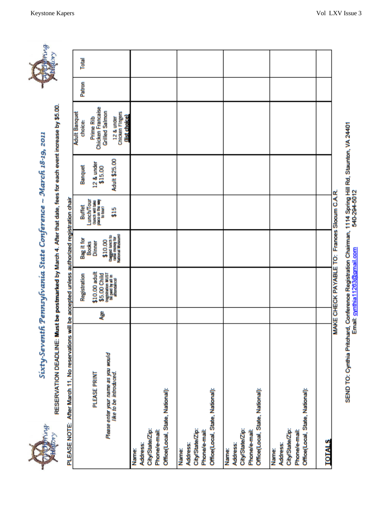Sixty-Seventh Pennsylvania State Conference ~ March 18-19, 2011



RESERVATION DEADLINE: Must be postmarked by March 4. After that date, fees for each event increase by \$5.00.

| PLEASE NOTE: After March 11, No reservations will be accepted unless authorized registration chair |   |                                                       |                                                         |                                                                       |                       |                                                         |        |       |
|----------------------------------------------------------------------------------------------------|---|-------------------------------------------------------|---------------------------------------------------------|-----------------------------------------------------------------------|-----------------------|---------------------------------------------------------|--------|-------|
|                                                                                                    |   | Registration                                          | Bag it for                                              | Buffet                                                                | Banquet               | <b>Adult Banquet</b><br>choice:                         | Patron | Total |
| PLEASE PRINT                                                                                       | ą | \$10.00 adult<br>\$5.00 Child                         | \$10.00<br>Dinner<br><b>Books</b>                       | Lunch/Tour<br>place on the way<br>to total?<br><b>Quech will take</b> | 12 & under<br>\$15.00 | Chicken Francaise<br><b>Grilled Salmon</b><br>Prime Rib |        |       |
| Please enter your name as you would<br>like to be introduced.                                      |   | kogistration MUST<br>Die paid by ail in<br>attendance | Chagged Lunch to<br>Talke money for<br>National Museum) | 515                                                                   | Adult \$25.00         | <b>Chicken Fingers</b><br>(list choice)<br>12 & under   |        |       |
| Name:                                                                                              |   |                                                       |                                                         |                                                                       |                       |                                                         |        |       |
| Address:                                                                                           |   |                                                       |                                                         |                                                                       |                       |                                                         |        |       |
| City/State/Zip:<br>Phone/e-mail:                                                                   |   |                                                       |                                                         |                                                                       |                       |                                                         |        |       |
| Office(Local, State, National):                                                                    |   |                                                       |                                                         |                                                                       |                       |                                                         |        |       |
| Vame:                                                                                              |   |                                                       |                                                         |                                                                       |                       |                                                         |        |       |
| Address:                                                                                           |   |                                                       |                                                         |                                                                       |                       |                                                         |        |       |
| City/State/Zip:                                                                                    |   |                                                       |                                                         |                                                                       |                       |                                                         |        |       |
| Phone/e-mail:                                                                                      |   |                                                       |                                                         |                                                                       |                       |                                                         |        |       |
| Office(Local, State, National):                                                                    |   |                                                       |                                                         |                                                                       |                       |                                                         |        |       |
| Name:                                                                                              |   |                                                       |                                                         |                                                                       |                       |                                                         |        |       |
| Address:                                                                                           |   |                                                       |                                                         |                                                                       |                       |                                                         |        |       |
| City/State/Zip:                                                                                    |   |                                                       |                                                         |                                                                       |                       |                                                         |        |       |
| Phone/e-mail:                                                                                      |   |                                                       |                                                         |                                                                       |                       |                                                         |        |       |
| Office(Local, State, National):                                                                    |   |                                                       |                                                         |                                                                       |                       |                                                         |        |       |
| Name:                                                                                              |   |                                                       |                                                         |                                                                       |                       |                                                         |        |       |
| Address:                                                                                           |   |                                                       |                                                         |                                                                       |                       |                                                         |        |       |
| City/State/Zip:                                                                                    |   |                                                       |                                                         |                                                                       |                       |                                                         |        |       |
| Phone/e-mail:                                                                                      |   |                                                       |                                                         |                                                                       |                       |                                                         |        |       |
| Office(Local, State, National):                                                                    |   |                                                       |                                                         |                                                                       |                       |                                                         |        |       |
| <b>POTALS</b>                                                                                      |   |                                                       |                                                         |                                                                       |                       |                                                         |        |       |
|                                                                                                    |   | MAKE CHECK PAYABLE TO: Frances Slocum C.A.R           |                                                         |                                                                       |                       |                                                         |        |       |
|                                                                                                    |   |                                                       |                                                         |                                                                       |                       |                                                         |        |       |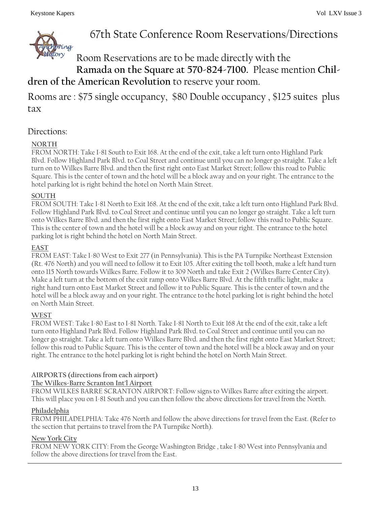

### 67th State Conference Room Reservations/Directions

### Room Reservations are to be made directly with the **Ramada on the Square at 570-824-7100.** Please mention **Children of the American Revolution** to reserve your room.

Rooms are : \$75 single occupancy, \$80 Double occupancy , \$125 suites plus tax

#### Directions:

#### **NORTH**

FROM NORTH: Take I-81 South to Exit 168. At the end of the exit, take a left turn onto Highland Park Blvd. Follow Highland Park Blvd. to Coal Street and continue until you can no longer go straight. Take a left turn on to Wilkes Barre Blvd. and then the first right onto East Market Street; follow this road to Public Square. This is the center of town and the hotel will be a block away and on your right. The entrance to the hotel parking lot is right behind the hotel on North Main Street.

#### **SOUTH**

FROM SOUTH: Take I-81 North to Exit 168. At the end of the exit, take a left turn onto Highland Park Blvd. Follow Highland Park Blvd. to Coal Street and continue until you can no longer go straight. Take a left turn onto Wilkes Barre Blvd. and then the first right onto East Market Street; follow this road to Public Square. This is the center of town and the hotel will be a block away and on your right. The entrance to the hotel parking lot is right behind the hotel on North Main Street.

#### **EAST**

FROM EAST: Take I-80 West to Exit 277 (in Pennsylvania). This is the PA Turnpike Northeast Extension (Rt. 476 North) and you will need to follow it to Exit 105. After exiting the toll booth, make a left hand turn onto 115 North towards Wilkes Barre. Follow it to 309 North and take Exit 2 (Wilkes Barre Center City). Make a left turn at the bottom of the exit ramp onto Wilkes Barre Blvd. At the fifth traffic light, make a right hand turn onto East Market Street and follow it to Public Square. This is the center of town and the hotel will be a block away and on your right. The entrance to the hotel parking lot is right behind the hotel on North Main Street.

#### **WEST**

FROM WEST: Take I-80 East to I-81 North. Take I-81 North to Exit 168 At the end of the exit, take a left turn onto Highland Park Blvd. Follow Highland Park Blvd. to Coal Street and continue until you can no longer go straight. Take a left turn onto Wilkes Barre Blvd. and then the first right onto East Market Street; follow this road to Public Square. This is the center of town and the hotel will be a block away and on your right. The entrance to the hotel parking lot is right behind the hotel on North Main Street.

#### **AIRPORTS (directions from each airport)**

#### **The Wilkes-Barre Scranton Int'l Airport**

FROM WILKES BARRE SCRANTON AIRPORT: Follow signs to Wilkes Barre after exiting the airport. This will place you on I-81 South and you can then follow the above directions for travel from the North.

#### **Philadelphia**

FROM PHILADELPHIA: Take 476 North and follow the above directions for travel from the East. (Refer to the section that pertains to travel from the PA Turnpike North).

#### **New York City**

FROM NEW YORK CITY: From the George Washington Bridge , take I-80 West into Pennsylvania and follow the above directions for travel from the East.